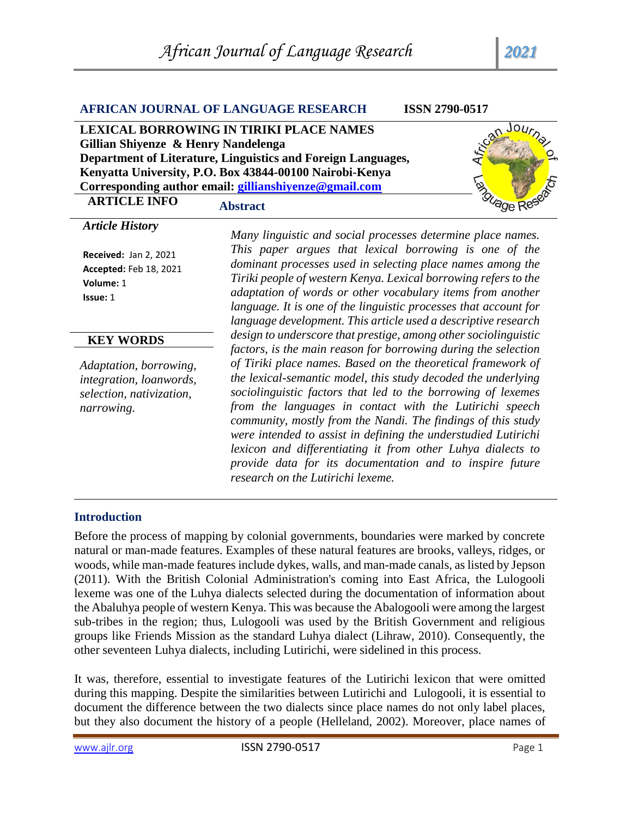|                                                                                                                                                                                                                                                                                                                         | <b>AFRICAN JOURNAL OF LANGUAGE RESEARCH</b><br><b>ISSN 2790-0517</b>                                                                                                                                                                                                                                                                                                                                                                                                                                                                                                                                                         |  |  |
|-------------------------------------------------------------------------------------------------------------------------------------------------------------------------------------------------------------------------------------------------------------------------------------------------------------------------|------------------------------------------------------------------------------------------------------------------------------------------------------------------------------------------------------------------------------------------------------------------------------------------------------------------------------------------------------------------------------------------------------------------------------------------------------------------------------------------------------------------------------------------------------------------------------------------------------------------------------|--|--|
| LEXICAL BORROWING IN TIRIKI PLACE NAMES<br>Gillian Shiyenze & Henry Nandelenga<br>Department of Literature, Linguistics and Foreign Languages,<br>Kenyatta University, P.O. Box 43844-00100 Nairobi-Kenya<br>anguage<br>Corresponding author email: gillianshiyenze@gmail.com<br><b>ARTICLE INFO</b><br><b>Abstract</b> |                                                                                                                                                                                                                                                                                                                                                                                                                                                                                                                                                                                                                              |  |  |
| <b>Article History</b><br><b>Received: Jan 2, 2021</b><br>Accepted: Feb 18, 2021<br>Volume: 1<br>Issue: 1                                                                                                                                                                                                               | Many linguistic and social processes determine place names.<br>This paper argues that lexical borrowing is one of the<br>dominant processes used in selecting place names among the<br>Tiriki people of western Kenya. Lexical borrowing refers to the<br>adaptation of words or other vocabulary items from another<br>language. It is one of the linguistic processes that account for<br>language development. This article used a descriptive research                                                                                                                                                                   |  |  |
| <b>KEY WORDS</b>                                                                                                                                                                                                                                                                                                        | design to underscore that prestige, among other sociolinguistic                                                                                                                                                                                                                                                                                                                                                                                                                                                                                                                                                              |  |  |
| Adaptation, borrowing,<br>integration, loanwords,<br>selection, nativization,<br>narrowing.                                                                                                                                                                                                                             | factors, is the main reason for borrowing during the selection<br>of Tiriki place names. Based on the theoretical framework of<br>the lexical-semantic model, this study decoded the underlying<br>sociolinguistic factors that led to the borrowing of lexemes<br>from the languages in contact with the Lutirichi speech<br>community, mostly from the Nandi. The findings of this study<br>were intended to assist in defining the understudied Lutirichi<br>lexicon and differentiating it from other Luhya dialects to<br>provide data for its documentation and to inspire future<br>research on the Lutirichi lexeme. |  |  |

# **Introduction**

Before the process of mapping by colonial governments, boundaries were marked by concrete natural or man-made features. Examples of these natural features are brooks, valleys, ridges, or woods, while man-made features include dykes, walls, and man-made canals, as listed by Jepson (2011). With the British Colonial Administration's coming into East Africa, the Lulogooli lexeme was one of the Luhya dialects selected during the documentation of information about the Abaluhya people of western Kenya. This was because the Abalogooli were among the largest sub-tribes in the region; thus, Lulogooli was used by the British Government and religious groups like Friends Mission as the standard Luhya dialect (Lihraw, 2010). Consequently, the other seventeen Luhya dialects, including Lutirichi, were sidelined in this process.

It was, therefore, essential to investigate features of the Lutirichi lexicon that were omitted during this mapping. Despite the similarities between Lutirichi and Lulogooli, it is essential to document the difference between the two dialects since place names do not only label places, but they also document the history of a people (Helleland, 2002). Moreover, place names of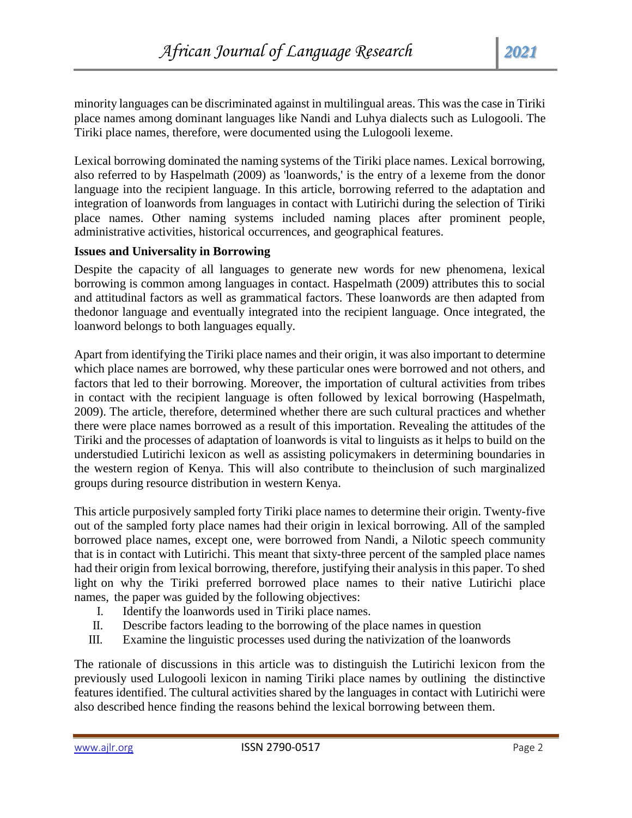minority languages can be discriminated against in multilingual areas. This was the case in Tiriki place names among dominant languages like Nandi and Luhya dialects such as Lulogooli. The Tiriki place names, therefore, were documented using the Lulogooli lexeme.

Lexical borrowing dominated the naming systems of the Tiriki place names. Lexical borrowing, also referred to by Haspelmath (2009) as 'loanwords,' is the entry of a lexeme from the donor language into the recipient language. In this article, borrowing referred to the adaptation and integration of loanwords from languages in contact with Lutirichi during the selection of Tiriki place names. Other naming systems included naming places after prominent people, administrative activities, historical occurrences, and geographical features.

# **Issues and Universality in Borrowing**

Despite the capacity of all languages to generate new words for new phenomena, lexical borrowing is common among languages in contact. Haspelmath (2009) attributes this to social and attitudinal factors as well as grammatical factors. These loanwords are then adapted from thedonor language and eventually integrated into the recipient language. Once integrated, the loanword belongs to both languages equally.

Apart from identifying the Tiriki place names and their origin, it was also important to determine which place names are borrowed, why these particular ones were borrowed and not others, and factors that led to their borrowing. Moreover, the importation of cultural activities from tribes in contact with the recipient language is often followed by lexical borrowing (Haspelmath, 2009). The article, therefore, determined whether there are such cultural practices and whether there were place names borrowed as a result of this importation. Revealing the attitudes of the Tiriki and the processes of adaptation of loanwords is vital to linguists as it helps to build on the understudied Lutirichi lexicon as well as assisting policymakers in determining boundaries in the western region of Kenya. This will also contribute to theinclusion of such marginalized groups during resource distribution in western Kenya.

This article purposively sampled forty Tiriki place names to determine their origin. Twenty-five out of the sampled forty place names had their origin in lexical borrowing. All of the sampled borrowed place names, except one, were borrowed from Nandi, a Nilotic speech community that is in contact with Lutirichi. This meant that sixty-three percent of the sampled place names had their origin from lexical borrowing, therefore, justifying their analysis in this paper. To shed light on why the Tiriki preferred borrowed place names to their native Lutirichi place names, the paper was guided by the following objectives:

- I. Identify the loanwords used in Tiriki place names.
- II. Describe factors leading to the borrowing of the place names in question
- III. Examine the linguistic processes used during the nativization of the loanwords

The rationale of discussions in this article was to distinguish the Lutirichi lexicon from the previously used Lulogooli lexicon in naming Tiriki place names by outlining the distinctive features identified. The cultural activities shared by the languages in contact with Lutirichi were also described hence finding the reasons behind the lexical borrowing between them.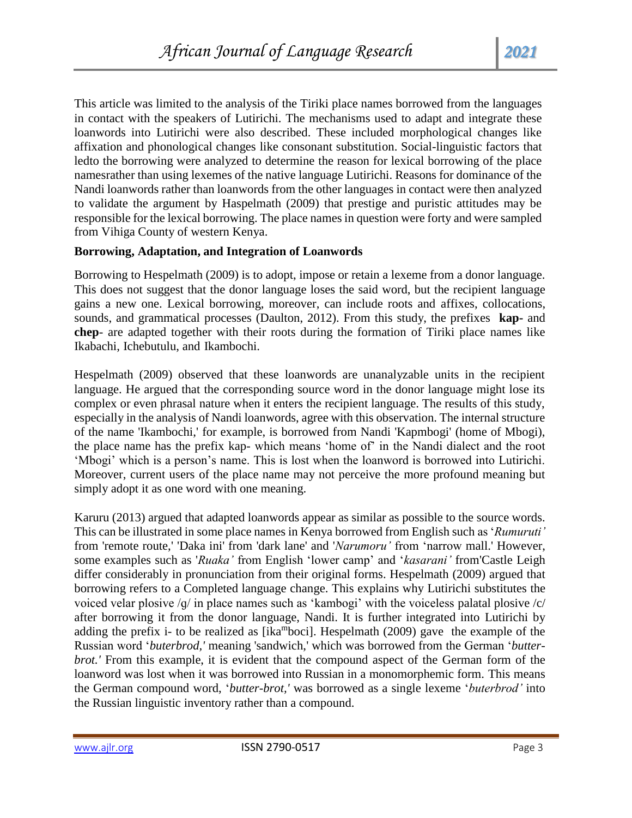This article was limited to the analysis of the Tiriki place names borrowed from the languages in contact with the speakers of Lutirichi. The mechanisms used to adapt and integrate these loanwords into Lutirichi were also described. These included morphological changes like affixation and phonological changes like consonant substitution. Social-linguistic factors that ledto the borrowing were analyzed to determine the reason for lexical borrowing of the place namesrather than using lexemes of the native language Lutirichi. Reasons for dominance of the Nandi loanwords rather than loanwords from the other languages in contact were then analyzed to validate the argument by Haspelmath (2009) that prestige and puristic attitudes may be responsible for the lexical borrowing. The place names in question were forty and were sampled from Vihiga County of western Kenya.

# **Borrowing, Adaptation, and Integration of Loanwords**

Borrowing to Hespelmath (2009) is to adopt, impose or retain a lexeme from a donor language. This does not suggest that the donor language loses the said word, but the recipient language gains a new one. Lexical borrowing, moreover, can include roots and affixes, collocations, sounds, and grammatical processes (Daulton, 2012). From this study, the prefixes **kap-** and **chep**- are adapted together with their roots during the formation of Tiriki place names like Ikabachi, Ichebutulu, and Ikambochi.

Hespelmath (2009) observed that these loanwords are unanalyzable units in the recipient language. He argued that the corresponding source word in the donor language might lose its complex or even phrasal nature when it enters the recipient language. The results of this study, especially in the analysis of Nandi loanwords, agree with this observation. The internal structure of the name 'Ikambochi,' for example, is borrowed from Nandi 'Kapmbogi' (home of Mbogi), the place name has the prefix kap- which means 'home of' in the Nandi dialect and the root 'Mbogi' which is a person's name. This is lost when the loanword is borrowed into Lutirichi. Moreover, current users of the place name may not perceive the more profound meaning but simply adopt it as one word with one meaning.

Karuru (2013) argued that adapted loanwords appear as similar as possible to the source words. This can be illustrated in some place names in Kenya borrowed from English such as '*Rumuruti'*  from 'remote route,' 'Daka ini' from 'dark lane' and '*Narumoru'* from 'narrow mall.' However, some examples such as '*Ruaka'* from English 'lower camp' and '*kasarani'* from'Castle Leigh differ considerably in pronunciation from their original forms. Hespelmath (2009) argued that borrowing refers to a Completed language change. This explains why Lutirichi substitutes the voiced velar plosive /ɡ/ in place names such as 'kambogi' with the voiceless palatal plosive /c/ after borrowing it from the donor language, Nandi. It is further integrated into Lutirichi by adding the prefix i- to be realized as [ika<sup>m</sup>boci]. Hespelmath (2009) gave the example of the Russian word '*buterbrod,'* meaning 'sandwich,' which was borrowed from the German '*butterbrot.'* From this example, it is evident that the compound aspect of the German form of the loanword was lost when it was borrowed into Russian in a monomorphemic form. This means the German compound word, '*butter-brot,'* was borrowed as a single lexeme '*buterbrod'* into the Russian linguistic inventory rather than a compound.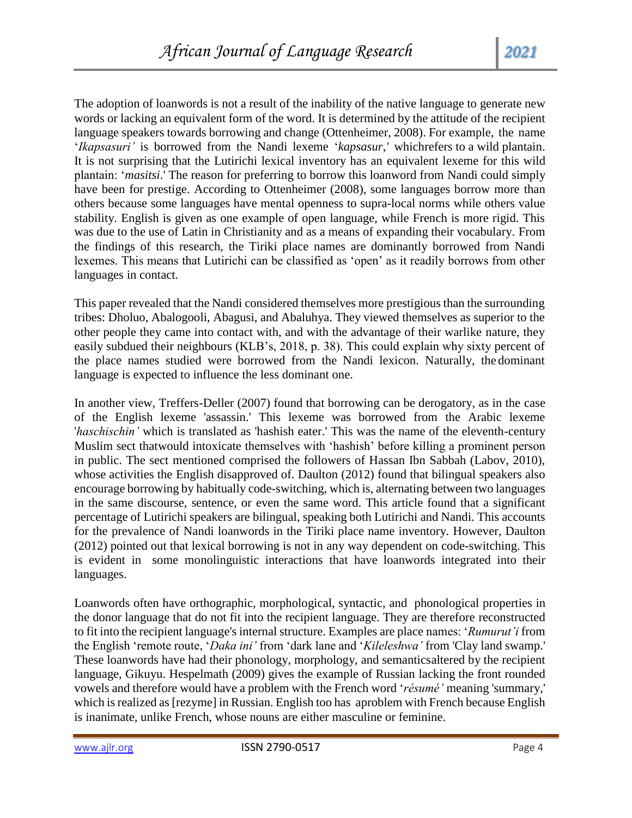The adoption of loanwords is not a result of the inability of the native language to generate new words or lacking an equivalent form of the word. It is determined by the attitude of the recipient language speakers towards borrowing and change (Ottenheimer, 2008). For example, the name '*Ikapsasuri'* is borrowed from the Nandi lexeme '*kapsasur,'* whichrefers to a wild plantain. It is not surprising that the Lutirichi lexical inventory has an equivalent lexeme for this wild plantain: '*masitsi*.' The reason for preferring to borrow this loanword from Nandi could simply have been for prestige. According to Ottenheimer (2008), some languages borrow more than others because some languages have mental openness to supra-local norms while others value stability. English is given as one example of open language, while French is more rigid. This was due to the use of Latin in Christianity and as a means of expanding their vocabulary. From the findings of this research, the Tiriki place names are dominantly borrowed from Nandi lexemes. This means that Lutirichi can be classified as 'open' as it readily borrows from other languages in contact.

This paper revealed that the Nandi considered themselves more prestigious than the surrounding tribes: Dholuo, Abalogooli, Abagusi, and Abaluhya. They viewed themselves as superior to the other people they came into contact with, and with the advantage of their warlike nature, they easily subdued their neighbours (KLB's, 2018, p. 38). This could explain why sixty percent of the place names studied were borrowed from the Nandi lexicon. Naturally, the dominant language is expected to influence the less dominant one.

In another view, Treffers-Deller (2007) found that borrowing can be derogatory, as in the case of the English lexeme 'assassin.' This lexeme was borrowed from the Arabic lexeme '*haschischin'* which is translated as 'hashish eater.' This was the name of the eleventh-century Muslim sect thatwould intoxicate themselves with 'hashish' before killing a prominent person in public. The sect mentioned comprised the followers of Hassan Ibn Sabbah (Labov, 2010), whose activities the English disapproved of. Daulton (2012) found that bilingual speakers also encourage borrowing by habitually code-switching, which is, alternating between two languages in the same discourse, sentence, or even the same word. This article found that a significant percentage of Lutirichi speakers are bilingual, speaking both Lutirichi and Nandi. This accounts for the prevalence of Nandi loanwords in the Tiriki place name inventory. However, Daulton (2012) pointed out that lexical borrowing is not in any way dependent on code-switching. This is evident in some monolinguistic interactions that have loanwords integrated into their languages.

Loanwords often have orthographic, morphological, syntactic, and phonological properties in the donor language that do not fit into the recipient language. They are therefore reconstructed to fit into the recipient language's internal structure. Examples are place names: '*Rumurut'i* from the English 'remote route, '*Daka ini'* from 'dark lane and '*Kileleshwa'* from 'Clay land swamp.' These loanwords have had their phonology, morphology, and semanticsaltered by the recipient language, Gikuyu. Hespelmath (2009) gives the example of Russian lacking the front rounded vowels and therefore would have a problem with the French word '*résumé'* meaning 'summary,' which is realized as [rezyme] in Russian. English too has aproblem with French because English is inanimate, unlike French, whose nouns are either masculine or feminine.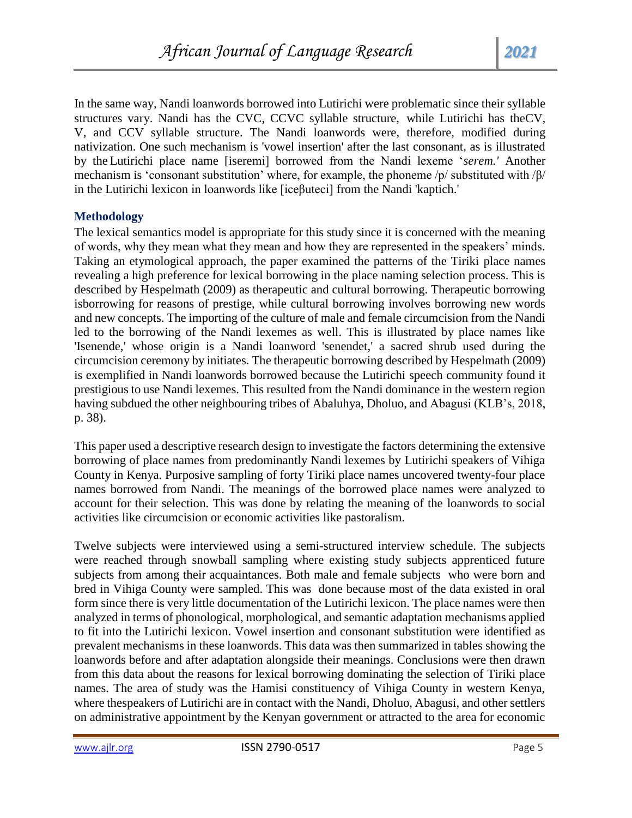In the same way, Nandi loanwords borrowed into Lutirichi were problematic since their syllable structures vary. Nandi has the CVC, CCVC syllable structure, while Lutirichi has theCV, V, and CCV syllable structure. The Nandi loanwords were, therefore, modified during nativization. One such mechanism is 'vowel insertion' after the last consonant, as is illustrated by the Lutirichi place name [iseremi] borrowed from the Nandi lexeme '*serem.'* Another mechanism is 'consonant substitution' where, for example, the phoneme /p/ substituted with /β/ in the Lutirichi lexicon in loanwords like [iceβuteci] from the Nandi 'kaptich.'

# **Methodology**

The lexical semantics model is appropriate for this study since it is concerned with the meaning of words, why they mean what they mean and how they are represented in the speakers' minds. Taking an etymological approach, the paper examined the patterns of the Tiriki place names revealing a high preference for lexical borrowing in the place naming selection process. This is described by Hespelmath (2009) as therapeutic and cultural borrowing. Therapeutic borrowing isborrowing for reasons of prestige, while cultural borrowing involves borrowing new words and new concepts. The importing of the culture of male and female circumcision from the Nandi led to the borrowing of the Nandi lexemes as well. This is illustrated by place names like 'Isenende,' whose origin is a Nandi loanword 'senendet,' a sacred shrub used during the circumcision ceremony by initiates. The therapeutic borrowing described by Hespelmath (2009) is exemplified in Nandi loanwords borrowed because the Lutirichi speech community found it prestigious to use Nandi lexemes. This resulted from the Nandi dominance in the western region having subdued the other neighbouring tribes of Abaluhya, Dholuo, and Abagusi (KLB's, 2018, p. 38).

This paper used a descriptive research design to investigate the factors determining the extensive borrowing of place names from predominantly Nandi lexemes by Lutirichi speakers of Vihiga County in Kenya. Purposive sampling of forty Tiriki place names uncovered twenty-four place names borrowed from Nandi. The meanings of the borrowed place names were analyzed to account for their selection. This was done by relating the meaning of the loanwords to social activities like circumcision or economic activities like pastoralism.

Twelve subjects were interviewed using a semi-structured interview schedule. The subjects were reached through snowball sampling where existing study subjects apprenticed future subjects from among their acquaintances. Both male and female subjects who were born and bred in Vihiga County were sampled. This was done because most of the data existed in oral form since there is very little documentation of the Lutirichi lexicon. The place names were then analyzed in terms of phonological, morphological, and semantic adaptation mechanisms applied to fit into the Lutirichi lexicon. Vowel insertion and consonant substitution were identified as prevalent mechanisms in these loanwords. This data was then summarized in tables showing the loanwords before and after adaptation alongside their meanings. Conclusions were then drawn from this data about the reasons for lexical borrowing dominating the selection of Tiriki place names. The area of study was the Hamisi constituency of Vihiga County in western Kenya, where thespeakers of Lutirichi are in contact with the Nandi, Dholuo, Abagusi, and other settlers on administrative appointment by the Kenyan government or attracted to the area for economic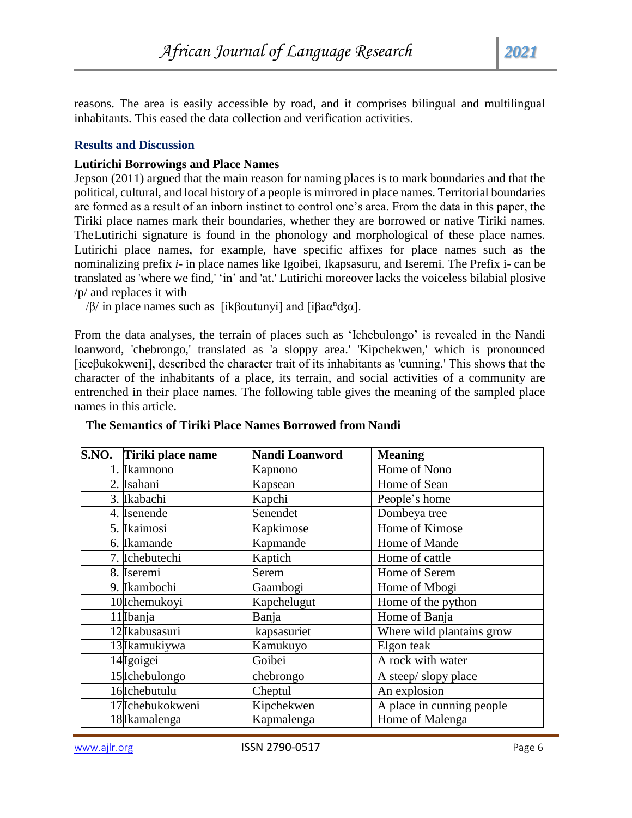reasons. The area is easily accessible by road, and it comprises bilingual and multilingual inhabitants. This eased the data collection and verification activities.

# **Results and Discussion**

### **Lutirichi Borrowings and Place Names**

Jepson (2011) argued that the main reason for naming places is to mark boundaries and that the political, cultural, and local history of a people is mirrored in place names. Territorial boundaries are formed as a result of an inborn instinct to control one's area. From the data in this paper, the Tiriki place names mark their boundaries, whether they are borrowed or native Tiriki names. TheLutirichi signature is found in the phonology and morphological of these place names. Lutirichi place names, for example, have specific affixes for place names such as the nominalizing prefix *i-* in place names like Igoibei, Ikapsasuru, and Iseremi. The Prefix i- can be translated as 'where we find,' 'in' and 'at.' Lutirichi moreover lacks the voiceless bilabial plosive /p/ and replaces it with

/β/ in place names such as [ikβαutunyi] and [iβaα<sup>n</sup>dʒα].

From the data analyses, the terrain of places such as 'Ichebulongo' is revealed in the Nandi loanword, 'chebrongo,' translated as 'a sloppy area.' 'Kipchekwen,' which is pronounced [iceβukokweni], described the character trait of its inhabitants as 'cunning.' This shows that the character of the inhabitants of a place, its terrain, and social activities of a community are entrenched in their place names. The following table gives the meaning of the sampled place names in this article.

| S.NO. Tiriki place name | Nandi Loanword | <b>Meaning</b>            |
|-------------------------|----------------|---------------------------|
| 1. Ikamnono             | Kapnono        | Home of Nono              |
| 2. Isahani              | Kapsean        | Home of Sean              |
| 3. Ikabachi             | Kapchi         | People's home             |
| 4. Isenende             | Senendet       | Dombeya tree              |
| 5. Ikaimosi             | Kapkimose      | Home of Kimose            |
| 6. Ikamande             | Kapmande       | Home of Mande             |
| 7. Ichebutechi          | Kaptich        | Home of cattle            |
| 8. Iseremi              | Serem          | Home of Serem             |
| 9. Ikambochi            | Gaambogi       | Home of Mbogi             |
| 10 Ichemukoyi           | Kapchelugut    | Home of the python        |
| $11$ <i>Ibanja</i>      | Banja          | Home of Banja             |
| 12 Ikabusasuri          | kapsasuriet    | Where wild plantains grow |
| 13 Ikamukiywa           | Kamukuyo       | Elgon teak                |
| 14 Igoigei              | Goibei         | A rock with water         |
| 15 Ichebulongo          | chebrongo      | A steep/slopy place       |
| 16 Ichebutulu           | Cheptul        | An explosion              |
| 17 Ichebukokweni        | Kipchekwen     | A place in cunning people |
| 18 Ikamalenga           | Kapmalenga     | Home of Malenga           |

#### **The Semantics of Tiriki Place Names Borrowed from Nandi**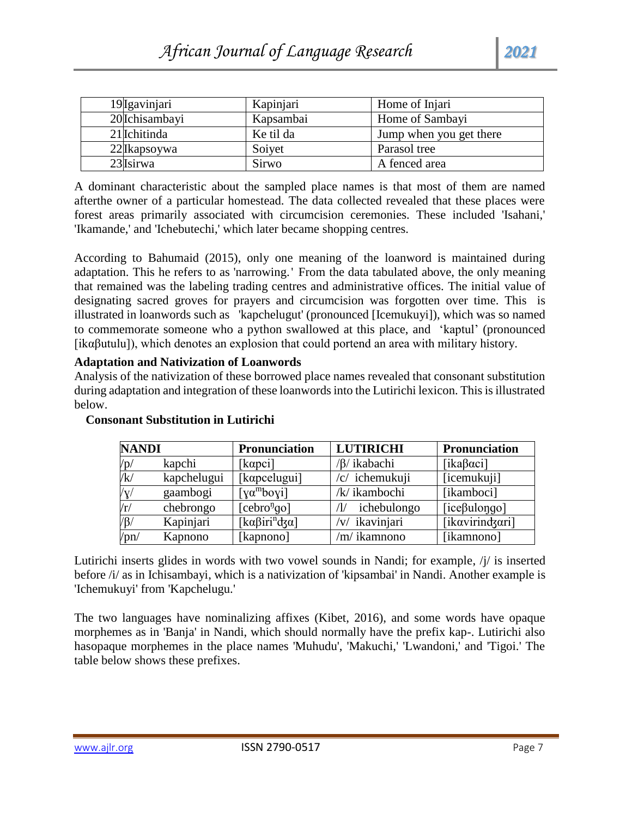| 19 Igavinjari  | Kapinjari | Home of Injari          |
|----------------|-----------|-------------------------|
| 20 Ichisambayi | Kapsambai | Home of Sambayi         |
| 21 Ichitinda   | Ke til da | Jump when you get there |
| 22 Ikapsoywa   | Soiyet    | Parasol tree            |
| 23 Isirwa      | Sirwo     | A fenced area           |

A dominant characteristic about the sampled place names is that most of them are named afterthe owner of a particular homestead. The data collected revealed that these places were forest areas primarily associated with circumcision ceremonies. These included 'Isahani,' 'Ikamande,' and 'Ichebutechi,' which later became shopping centres.

According to Bahumaid (2015), only one meaning of the loanword is maintained during adaptation. This he refers to as 'narrowing.' From the data tabulated above, the only meaning that remained was the labeling trading centres and administrative offices. The initial value of designating sacred groves for prayers and circumcision was forgotten over time. This is illustrated in loanwords such as 'kapchelugut' (pronounced [Icemukuyi]), which was so named to commemorate someone who a python swallowed at this place, and 'kaptul' (pronounced [ikαβutulu]), which denotes an explosion that could portend an area with military history.

#### **Adaptation and Nativization of Loanwords**

Analysis of the nativization of these borrowed place names revealed that consonant substitution during adaptation and integration of these loanwords into the Lutirichi lexicon. This is illustrated below.

| <b>NANDI</b>    |             | <b>Pronunciation</b>            | <b>LUTIRICHI</b>  | Pronunciation        |
|-----------------|-------------|---------------------------------|-------------------|----------------------|
| /p/             | kapchi      | [kαpci]                         | /β/ ikabachi      | [ika $\beta$ αci]    |
| /k/             | kapchelugui | [kapcelugui]                    | /c/ ichemukuji    | [icemukuji]          |
| $/{\rm V}$      | gaambogi    | [ $\chi\alpha^{\text{m}}$ boyi] | /k/ ikambochi     | [ikamboci]           |
| $\rm\langle r/$ | chebrongo   | [cebro <sup>η</sup> qo]         | ichebulongo<br>Ί, | [ $ice\beta$ ulongo] |
| $\sqrt{B/1}$    | Kapinjari   | [kαβiri <sup>n</sup> dʒα]       | /v/ ikavinjari    | [ikavirindzari]      |
| ppn/            | Kapnono     | [kapnono]                       | /m/ ikamnono      | [ikamnono]           |

# **Consonant Substitution in Lutirichi**

Lutirichi inserts glides in words with two vowel sounds in Nandi; for example, /j/ is inserted before /i/ as in Ichisambayi, which is a nativization of 'kipsambai' in Nandi. Another example is 'Ichemukuyi' from 'Kapchelugu.'

The two languages have nominalizing affixes (Kibet, 2016), and some words have opaque morphemes as in 'Banja' in Nandi, which should normally have the prefix kap-. Lutirichi also hasopaque morphemes in the place names 'Muhudu', 'Makuchi,' 'Lwandoni,' and 'Tigoi.' The table below shows these prefixes.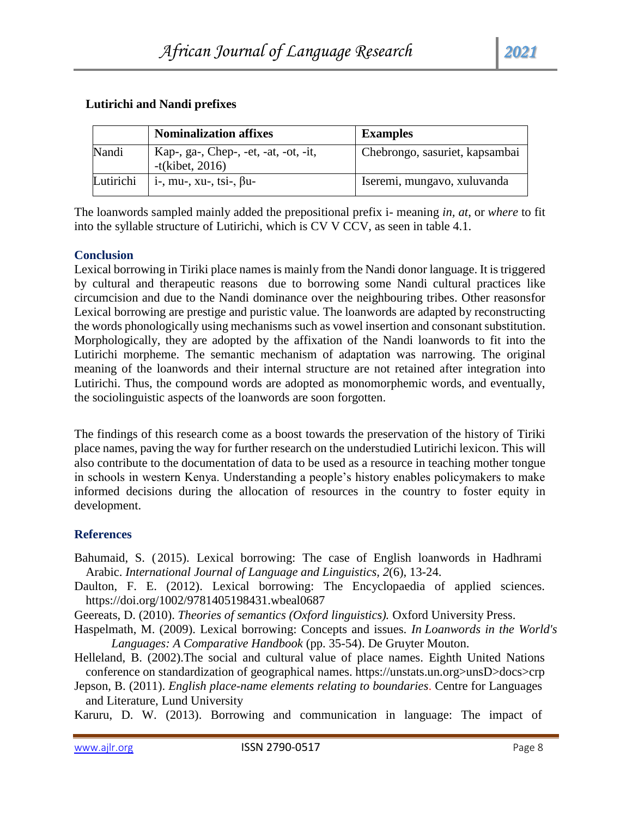# **Lutirichi and Nandi prefixes**

|           | <b>Nominalization affixes</b>                               | <b>Examples</b>                |
|-----------|-------------------------------------------------------------|--------------------------------|
| Nandi     | Kap-, ga-, Chep-, -et, -at, -ot, -it,<br>$-t$ (kibet, 2016) | Chebrongo, sasuriet, kapsambai |
| Lutirichi | $i$ -, mu-, xu-, tsi-, $\beta$ u-                           | Iseremi, mungavo, xuluvanda    |

The loanwords sampled mainly added the prepositional prefix i- meaning *in, at*, or *where* to fit into the syllable structure of Lutirichi, which is CV V CCV, as seen in table 4.1.

# **Conclusion**

Lexical borrowing in Tiriki place names is mainly from the Nandi donor language. It is triggered by cultural and therapeutic reasons due to borrowing some Nandi cultural practices like circumcision and due to the Nandi dominance over the neighbouring tribes. Other reasonsfor Lexical borrowing are prestige and puristic value. The loanwords are adapted by reconstructing the words phonologically using mechanisms such as vowel insertion and consonant substitution. Morphologically, they are adopted by the affixation of the Nandi loanwords to fit into the Lutirichi morpheme. The semantic mechanism of adaptation was narrowing. The original meaning of the loanwords and their internal structure are not retained after integration into Lutirichi. Thus, the compound words are adopted as monomorphemic words, and eventually, the sociolinguistic aspects of the loanwords are soon forgotten.

The findings of this research come as a boost towards the preservation of the history of Tiriki place names, paving the way for further research on the understudied Lutirichi lexicon. This will also contribute to the documentation of data to be used as a resource in teaching mother tongue in schools in western Kenya. Understanding a people's history enables policymakers to make informed decisions during the allocation of resources in the country to foster equity in development.

# **References**

- Bahumaid, S. (2015). Lexical borrowing: The case of English loanwords in Hadhrami Arabic. *International Journal of Language and Linguistics, 2*(6), 13-24.
- Daulton, F. E. (2012). Lexical borrowing: The Encyclopaedia of applied sciences. https://doi.org/1002/9781405198431.wbeal0687
- Geereats, D. (2010). *Theories of semantics (Oxford linguistics).* Oxford University Press.
- Haspelmath, M. (2009). Lexical borrowing: Concepts and issues. *In Loanwords in the World's Languages: A Comparative Handbook* (pp. 35-54). De Gruyter Mouton.
- Helleland, B. (2002).The social and cultural value of place names. Eighth United Nations conference on standardization of geographical names. https://unstats.un.org>unsD>docs>crp
- Jepson, B. (2011). *English place-name elements relating to boundaries*. Centre for Languages and Literature, Lund University

Karuru, D. W. (2013). Borrowing and communication in language: The impact of